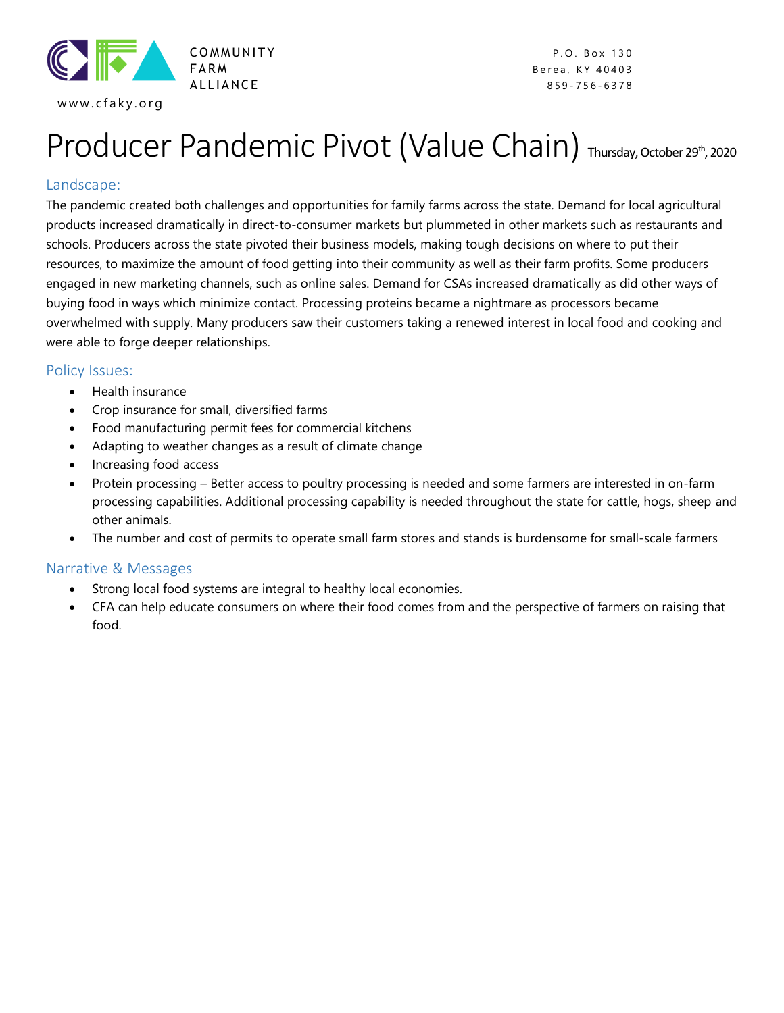

A L L I A N C E 859 - 756 - 6378

# Producer Pandemic Pivot (Value Chain) Thursday, October 29th, 2020

### Landscape:

The pandemic created both challenges and opportunities for family farms across the state. Demand for local agricultural products increased dramatically in direct-to-consumer markets but plummeted in other markets such as restaurants and schools. Producers across the state pivoted their business models, making tough decisions on where to put their resources, to maximize the amount of food getting into their community as well as their farm profits. Some producers engaged in new marketing channels, such as online sales. Demand for CSAs increased dramatically as did other ways of buying food in ways which minimize contact. Processing proteins became a nightmare as processors became overwhelmed with supply. Many producers saw their customers taking a renewed interest in local food and cooking and were able to forge deeper relationships.

#### Policy Issues:

- Health insurance
- Crop insurance for small, diversified farms
- Food manufacturing permit fees for commercial kitchens
- Adapting to weather changes as a result of climate change
- Increasing food access
- Protein processing Better access to poultry processing is needed and some farmers are interested in on-farm processing capabilities. Additional processing capability is needed throughout the state for cattle, hogs, sheep and other animals.
- The number and cost of permits to operate small farm stores and stands is burdensome for small-scale farmers

#### Narrative & Messages

- Strong local food systems are integral to healthy local economies.
- CFA can help educate consumers on where their food comes from and the perspective of farmers on raising that food.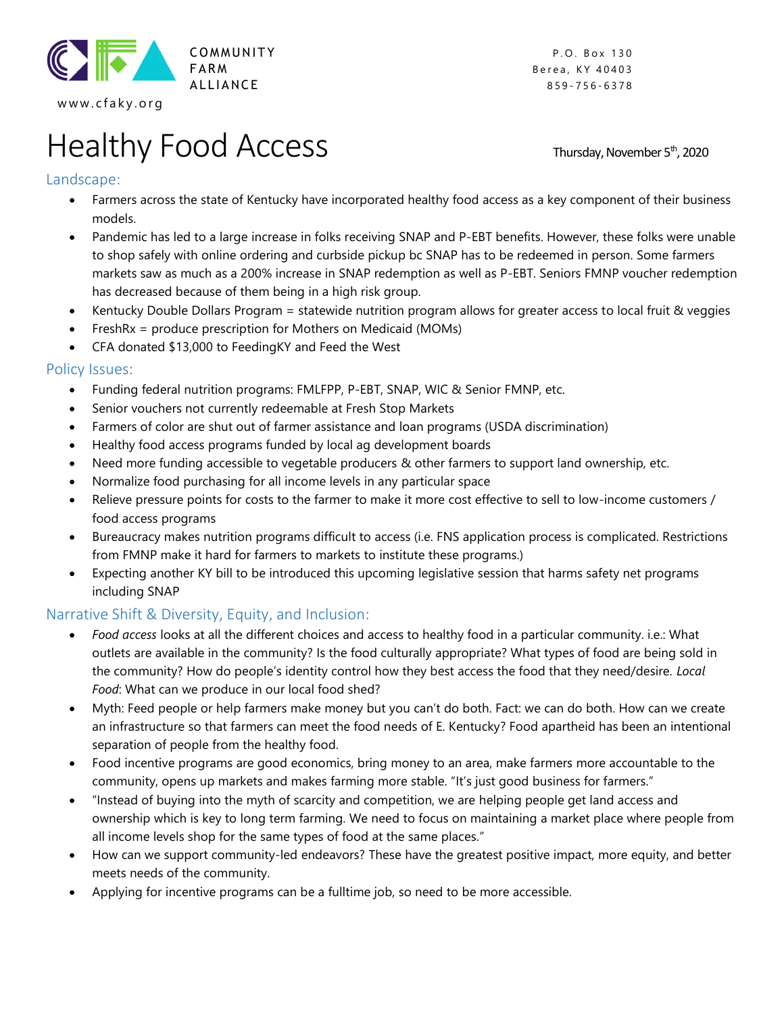

www.cfaky.org

**FARM** Berea, KY 40403 A LLIANCE 859-756-6378

# Healthy Food Access Thursday, November 5th, 2020

# Landscape:

- Farmers across the state of Kentucky have incorporated healthy food access as a key component of their business models.
- Pandemic has led to a large increase in folks receiving SNAP and P-EBT benefits. However, these folks were unable to shop safely with online ordering and curbside pickup bc SNAP has to be redeemed in person. Some farmers markets saw as much as a 200% increase in SNAP redemption as well as P-EBT. Seniors FMNP voucher redemption has decreased because of them being in a high risk group.
- Kentucky Double Dollars Program = statewide nutrition program allows for greater access to local fruit & veggies
- FreshRx = produce prescription for Mothers on Medicaid (MOMs)
- CFA donated \$13,000 to FeedingKY and Feed the West

#### Policy Issues:

- Funding federal nutrition programs: FMLFPP, P-EBT, SNAP, WIC & Senior FMNP, etc.
- Senior vouchers not currently redeemable at Fresh Stop Markets
- Farmers of color are shut out of farmer assistance and loan programs (USDA discrimination)
- Healthy food access programs funded by local ag development boards
- Need more funding accessible to vegetable producers & other farmers to support land ownership, etc.
- Normalize food purchasing for all income levels in any particular space
- Relieve pressure points for costs to the farmer to make it more cost effective to sell to low-income customers / food access programs
- Bureaucracy makes nutrition programs difficult to access (i.e. FNS application process is complicated. Restrictions from FMNP make it hard for farmers to markets to institute these programs.)
- Expecting another KY bill to be introduced this upcoming legislative session that harms safety net programs including SNAP

# Narrative Shift & Diversity, Equity, and Inclusion:

- *Food access* looks at all the different choices and access to healthy food in a particular community. i.e.: What outlets are available in the community? Is the food culturally appropriate? What types of food are being sold in the community? How do people's identity control how they best access the food that they need/desire. *Local Food*: What can we produce in our local food shed?
- Myth: Feed people or help farmers make money but you can't do both. Fact: we can do both. How can we create an infrastructure so that farmers can meet the food needs of E. Kentucky? Food apartheid has been an intentional separation of people from the healthy food.
- Food incentive programs are good economics, bring money to an area, make farmers more accountable to the community, opens up markets and makes farming more stable. "It's just good business for farmers."
- "Instead of buying into the myth of scarcity and competition, we are helping people get land access and ownership which is key to long term farming. We need to focus on maintaining a market place where people from all income levels shop for the same types of food at the same places."
- How can we support community-led endeavors? These have the greatest positive impact, more equity, and better meets needs of the community.
- Applying for incentive programs can be a fulltime job, so need to be more accessible.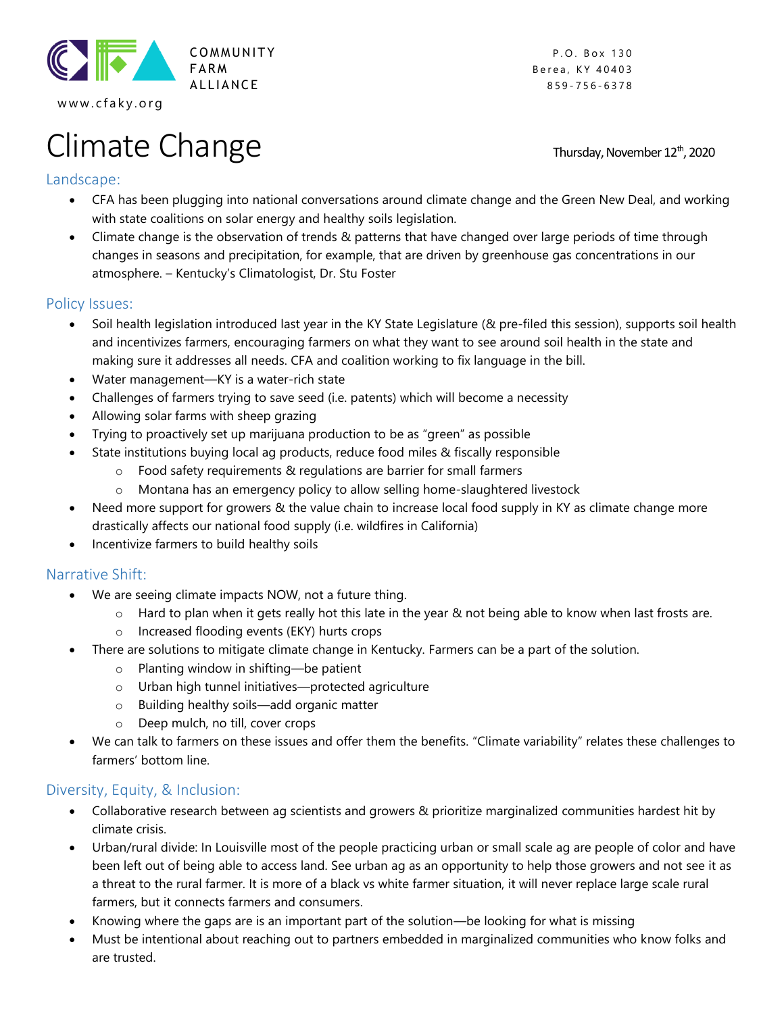

Climate Change Thursday, November 12th, 2020

Berea, KY 40403 A LLIANCE 859-756-6378

# Landscape:

- CFA has been plugging into national conversations around climate change and the Green New Deal, and working with state coalitions on solar energy and healthy soils legislation.
- Climate change is the observation of trends & patterns that have changed over large periods of time through changes in seasons and precipitation, for example, that are driven by greenhouse gas concentrations in our atmosphere. – Kentucky's Climatologist, Dr. Stu Foster

#### Policy Issues:

- Soil health legislation introduced last year in the KY State Legislature (& pre-filed this session), supports soil health and incentivizes farmers, encouraging farmers on what they want to see around soil health in the state and making sure it addresses all needs. CFA and coalition working to fix language in the bill.
- Water management—KY is a water-rich state
- Challenges of farmers trying to save seed (i.e. patents) which will become a necessity
- Allowing solar farms with sheep grazing
- Trying to proactively set up marijuana production to be as "green" as possible
- State institutions buying local ag products, reduce food miles & fiscally responsible
	- o Food safety requirements & regulations are barrier for small farmers
	- o Montana has an emergency policy to allow selling home-slaughtered livestock
- Need more support for growers & the value chain to increase local food supply in KY as climate change more drastically affects our national food supply (i.e. wildfires in California)
- Incentivize farmers to build healthy soils

# Narrative Shift:

- We are seeing climate impacts NOW, not a future thing.
	- $\circ$  Hard to plan when it gets really hot this late in the year & not being able to know when last frosts are.
	- o Increased flooding events (EKY) hurts crops
- There are solutions to mitigate climate change in Kentucky. Farmers can be a part of the solution.
	- o Planting window in shifting—be patient
	- o Urban high tunnel initiatives—protected agriculture
	- o Building healthy soils—add organic matter
	- o Deep mulch, no till, cover crops
- We can talk to farmers on these issues and offer them the benefits. "Climate variability" relates these challenges to farmers' bottom line.

# Diversity, Equity, & Inclusion:

- Collaborative research between ag scientists and growers & prioritize marginalized communities hardest hit by climate crisis.
- Urban/rural divide: In Louisville most of the people practicing urban or small scale ag are people of color and have been left out of being able to access land. See urban ag as an opportunity to help those growers and not see it as a threat to the rural farmer. It is more of a black vs white farmer situation, it will never replace large scale rural farmers, but it connects farmers and consumers.
- Knowing where the gaps are is an important part of the solution—be looking for what is missing
- Must be intentional about reaching out to partners embedded in marginalized communities who know folks and are trusted.